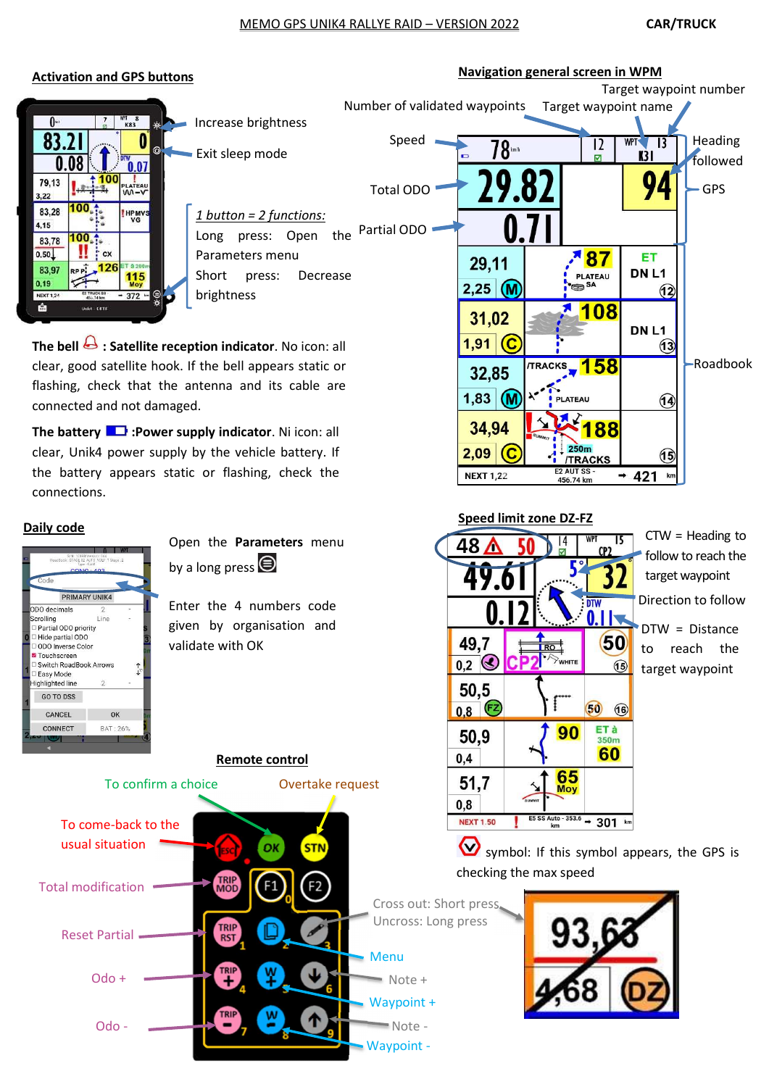